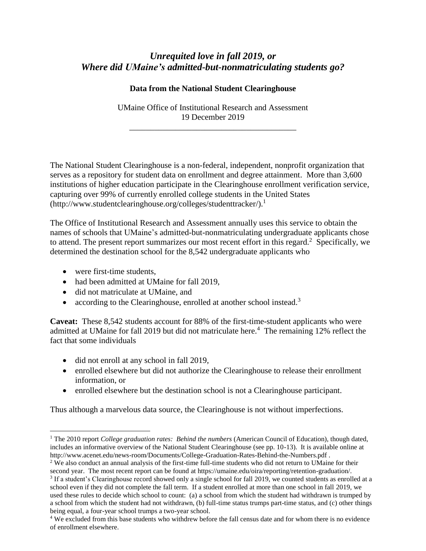## *Unrequited love in fall 2019, or Where did UMaine's admitted-but-nonmatriculating students go?*

## **Data from the National Student Clearinghouse**

UMaine Office of Institutional Research and Assessment 19 December 2019

\_\_\_\_\_\_\_\_\_\_\_\_\_\_\_\_\_\_\_\_\_\_\_\_\_\_\_\_\_\_\_\_\_\_\_\_\_\_\_\_

The National Student Clearinghouse is a non-federal, independent, nonprofit organization that serves as a repository for student data on enrollment and degree attainment. More than 3,600 institutions of higher education participate in the Clearinghouse enrollment verification service, capturing over 99% of currently enrolled college students in the United States (http://www.studentclearinghouse.org/colleges/studenttracker/). 1

The Office of Institutional Research and Assessment annually uses this service to obtain the names of schools that UMaine's admitted-but-nonmatriculating undergraduate applicants chose to attend. The present report summarizes our most recent effort in this regard.<sup>2</sup> Specifically, we determined the destination school for the 8,542 undergraduate applicants who

• were first-time students,

 $\overline{a}$ 

- had been admitted at UMaine for fall 2019,
- did not matriculate at UMaine, and
- according to the Clearinghouse, enrolled at another school instead.<sup>3</sup>

**Caveat:** These 8,542 students account for 88% of the first-time-student applicants who were admitted at UMaine for fall 2019 but did not matriculate here. 4 The remaining 12% reflect the fact that some individuals

- did not enroll at any school in fall 2019,
- enrolled elsewhere but did not authorize the Clearinghouse to release their enrollment information, or
- enrolled elsewhere but the destination school is not a Clearinghouse participant.

Thus although a marvelous data source, the Clearinghouse is not without imperfections.

<sup>1</sup> The 2010 report *College graduation rates: Behind the numbers* (American Council of Education), though dated, includes an informative overview of the National Student Clearinghouse (see pp. 10-13). It is available online at http://www.acenet.edu/news-room/Documents/College-Graduation-Rates-Behind-the-Numbers.pdf .

<sup>&</sup>lt;sup>2</sup> We also conduct an annual analysis of the first-time full-time students who did not return to UMaine for their second year. The most recent report can be found at https://umaine.edu/oira/reporting/retention-graduation/.

<sup>&</sup>lt;sup>3</sup> If a student's Clearinghouse record showed only a single school for fall 2019, we counted students as enrolled at a school even if they did not complete the fall term. If a student enrolled at more than one school in fall 2019, we used these rules to decide which school to count: (a) a school from which the student had withdrawn is trumped by a school from which the student had not withdrawn, (b) full-time status trumps part-time status, and (c) other things being equal, a four-year school trumps a two-year school.

<sup>4</sup> We excluded from this base students who withdrew before the fall census date and for whom there is no evidence of enrollment elsewhere.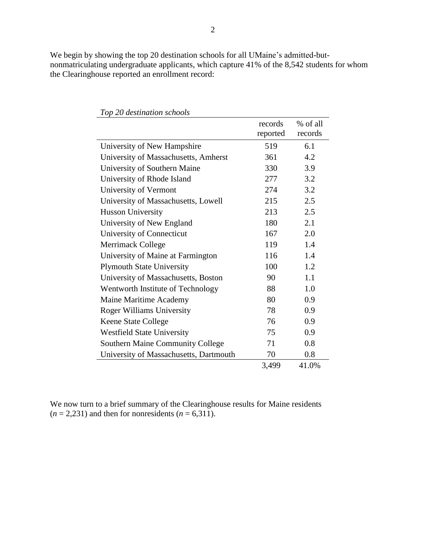We begin by showing the top 20 destination schools for all UMaine's admitted-butnonmatriculating undergraduate applicants, which capture 41% of the 8,542 students for whom the Clearinghouse reported an enrollment record:

|                                         | records  | % of all |
|-----------------------------------------|----------|----------|
|                                         | reported | records  |
| University of New Hampshire             | 519      | 6.1      |
| University of Massachusetts, Amherst    | 361      | 4.2      |
| University of Southern Maine            | 330      | 3.9      |
| University of Rhode Island              | 277      | 3.2      |
| University of Vermont                   | 274      | 3.2      |
| University of Massachusetts, Lowell     | 215      | 2.5      |
| <b>Husson University</b>                | 213      | 2.5      |
| University of New England               | 180      | 2.1      |
| University of Connecticut               | 167      | 2.0      |
| Merrimack College                       | 119      | 1.4      |
| University of Maine at Farmington       | 116      | 1.4      |
| <b>Plymouth State University</b>        | 100      | 1.2      |
| University of Massachusetts, Boston     | 90       | 1.1      |
| Wentworth Institute of Technology       | 88       | 1.0      |
| Maine Maritime Academy                  | 80       | 0.9      |
| <b>Roger Williams University</b>        | 78       | 0.9      |
| <b>Keene State College</b>              | 76       | 0.9      |
| <b>Westfield State University</b>       | 75       | 0.9      |
| <b>Southern Maine Community College</b> | 71       | 0.8      |
| University of Massachusetts, Dartmouth  | 70       | 0.8      |
|                                         | 3,499    | 41.0%    |

*Top 20 destination schools*

We now turn to a brief summary of the Clearinghouse results for Maine residents  $(n = 2,231)$  and then for nonresidents  $(n = 6,311)$ .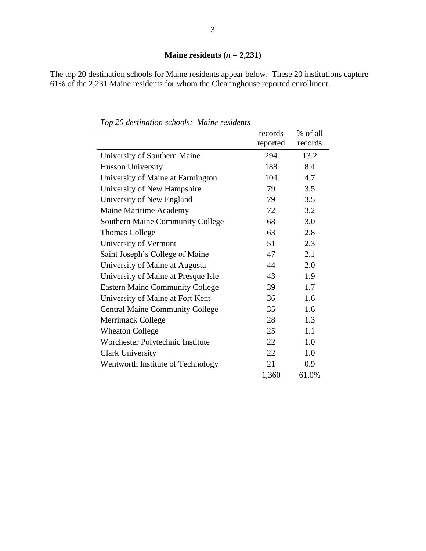## **Maine residents**  $(n = 2,231)$

The top 20 destination schools for Maine residents appear below. These 20 institutions capture 61% of the 2,231 Maine residents for whom the Clearinghouse reported enrollment.

|                                         | records  | % of all |
|-----------------------------------------|----------|----------|
|                                         | reported | records  |
| University of Southern Maine            | 294      | 13.2     |
| <b>Husson University</b>                | 188      | 8.4      |
| University of Maine at Farmington       | 104      | 4.7      |
| University of New Hampshire             | 79       | 3.5      |
| University of New England               | 79       | 3.5      |
| Maine Maritime Academy                  | 72       | 3.2      |
| <b>Southern Maine Community College</b> | 68       | 3.0      |
| <b>Thomas College</b>                   | 63       | 2.8      |
| University of Vermont                   | 51       | 2.3      |
| Saint Joseph's College of Maine         | 47       | 2.1      |
| University of Maine at Augusta          | 44       | 2.0      |
| University of Maine at Presque Isle     | 43       | 1.9      |
| <b>Eastern Maine Community College</b>  | 39       | 1.7      |
| University of Maine at Fort Kent        | 36       | 1.6      |
| <b>Central Maine Community College</b>  | 35       | 1.6      |
| <b>Merrimack College</b>                | 28       | 1.3      |
| <b>Wheaton College</b>                  | 25       | 1.1      |
| Worchester Polytechnic Institute        | 22       | 1.0      |
| <b>Clark University</b>                 | 22       | 1.0      |
| Wentworth Institute of Technology       | 21       | 0.9      |
|                                         | 1,360    | 61.0%    |

*Top 20 destination schools: Maine residents*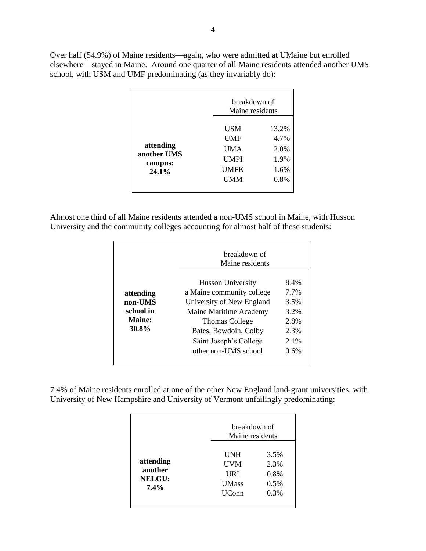Over half (54.9%) of Maine residents—again, who were admitted at UMaine but enrolled elsewhere—stayed in Maine. Around one quarter of all Maine residents attended another UMS school, with USM and UMF predominating (as they invariably do):

|                                              |                                                               | breakdown of<br>Maine residents               |  |
|----------------------------------------------|---------------------------------------------------------------|-----------------------------------------------|--|
| attending<br>another UMS<br>campus:<br>24.1% | <b>USM</b><br>UMF<br>UMA<br><b>UMPI</b><br>UMFK<br><b>UMM</b> | 13.2%<br>4.7%<br>2.0%<br>1.9%<br>1.6%<br>0.8% |  |

Almost one third of all Maine residents attended a non-UMS school in Maine, with Husson University and the community colleges accounting for almost half of these students:

|               | breakdown of<br>Maine residents |         |
|---------------|---------------------------------|---------|
|               | Husson University               | 8.4%    |
| attending     | a Maine community college       | 7.7%    |
| non-UMS       | University of New England       | 3.5%    |
| school in     | Maine Maritime Academy          | 3.2%    |
| <b>Maine:</b> | <b>Thomas College</b>           | 2.8%    |
| 30.8%         | Bates, Bowdoin, Colby           | 2.3%    |
|               | Saint Joseph's College          | $2.1\%$ |
|               | other non-UMS school            | 0.6%    |

7.4% of Maine residents enrolled at one of the other New England land-grant universities, with University of New Hampshire and University of Vermont unfailingly predominating:

|                                                  |                                                          | breakdown of<br>Maine residents      |  |
|--------------------------------------------------|----------------------------------------------------------|--------------------------------------|--|
| attending<br>another<br><b>NELGU:</b><br>$7.4\%$ | UNH<br><b>UVM</b><br>URI<br><b>UMass</b><br><b>UConn</b> | 3.5%<br>2.3%<br>0.8%<br>0.5%<br>0.3% |  |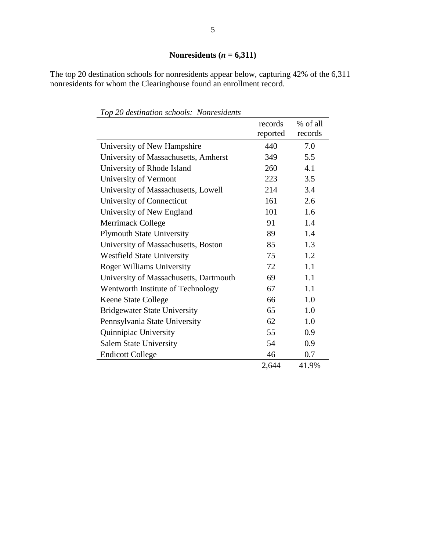The top 20 destination schools for nonresidents appear below, capturing 42% of the 6,311 nonresidents for whom the Clearinghouse found an enrollment record.

|                                        | records<br>reported | % of all<br>records |
|----------------------------------------|---------------------|---------------------|
| University of New Hampshire            | 440                 | 7.0                 |
| University of Massachusetts, Amherst   | 349                 | 5.5                 |
| University of Rhode Island             | 260                 | 4.1                 |
| University of Vermont                  | 223                 | 3.5                 |
| University of Massachusetts, Lowell    | 214                 | 3.4                 |
| University of Connecticut              | 161                 | 2.6                 |
| University of New England              | 101                 | 1.6                 |
| <b>Merrimack College</b>               | 91                  | 1.4                 |
| <b>Plymouth State University</b>       | 89                  | 1.4                 |
| University of Massachusetts, Boston    | 85                  | 1.3                 |
| <b>Westfield State University</b>      | 75                  | 1.2                 |
| <b>Roger Williams University</b>       | 72                  | 1.1                 |
| University of Massachusetts, Dartmouth | 69                  | 1.1                 |
| Wentworth Institute of Technology      | 67                  | 1.1                 |
| <b>Keene State College</b>             | 66                  | 1.0                 |
| <b>Bridgewater State University</b>    | 65                  | 1.0                 |
| Pennsylvania State University          | 62                  | 1.0                 |
| Quinnipiac University                  | 55                  | 0.9                 |
| <b>Salem State University</b>          | 54                  | 0.9                 |
| <b>Endicott College</b>                | 46                  | 0.7                 |
|                                        | 2,644               | 41.9%               |

*Top 20 destination schools: Nonresidents*